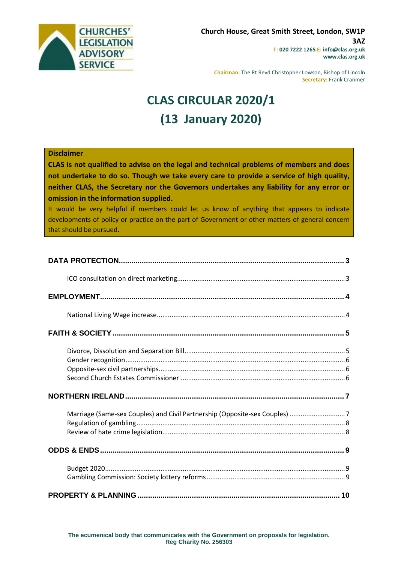

**Chairman:** The Rt Revd Christopher Lowson, Bishop of Lincoln **Secretary:** Frank Cranmer

# **CLAS CIRCULAR 2020/1 (13 January 2020)**

### **Disclaimer**

**CLAS is not qualified to advise on the legal and technical problems of members and does not undertake to do so. Though we take every care to provide a service of high quality, neither CLAS, the Secretary nor the Governors undertakes any liability for any error or omission in the information supplied.**

It would be very helpful if members could let us know of anything that appears to indicate developments of policy or practice on the part of Government or other matters of general concern that should be pursued.

| Marriage (Same-sex Couples) and Civil Partnership (Opposite-sex Couples) 7 |  |
|----------------------------------------------------------------------------|--|
|                                                                            |  |
|                                                                            |  |
|                                                                            |  |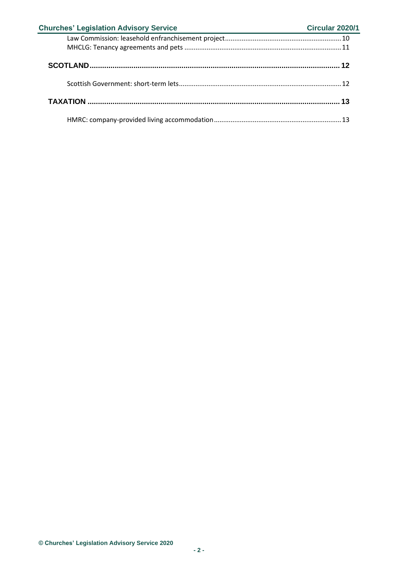| <b>Churches' Legislation Advisory Service</b><br><u> 1989 - Andrea Andrew Maria (b. 1989)</u> | Circular 2020/1 |
|-----------------------------------------------------------------------------------------------|-----------------|
|                                                                                               |                 |
|                                                                                               |                 |
|                                                                                               |                 |
|                                                                                               |                 |
|                                                                                               |                 |
|                                                                                               |                 |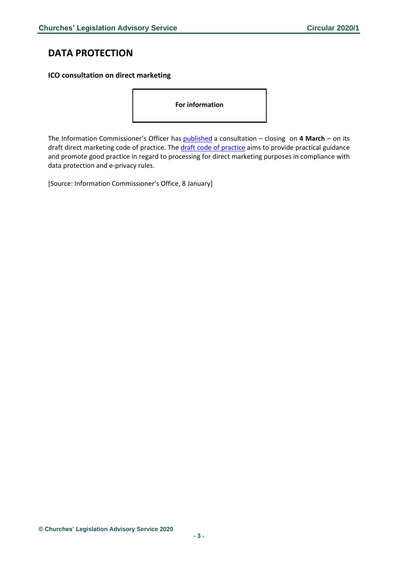# <span id="page-2-0"></span>**DATA PROTECTION**

### <span id="page-2-1"></span>**ICO consultation on direct marketing**

**For information** 

The Information Commissioner's Officer has [published](https://ico.org.uk/about-the-ico/ico-and-stakeholder-consultations/ico-consultation-on-the-draft-direct-marketing-code-of-practice/) a consultation – closing on **4 March** – on its draft direct marketing code of practice. The [draft code of practice](https://ico.org.uk/media/about-the-ico/consultations/2616882/direct-marketing-code-draft-guidance.pdf) aims to provide practical guidance and promote good practice in regard to processing for direct marketing purposes in compliance with data protection and e-privacy rules.

[Source: Information Commissioner's Office, 8 January]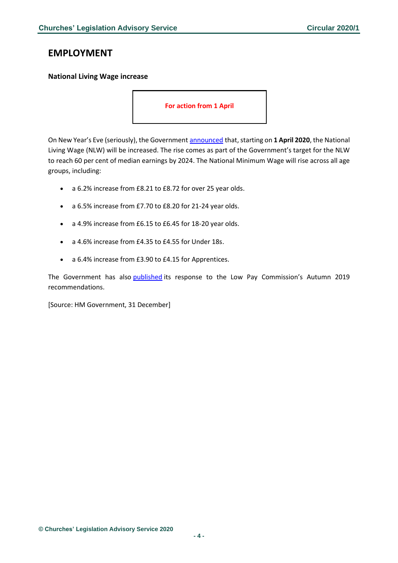# <span id="page-3-0"></span>**EMPLOYMENT**

### <span id="page-3-1"></span>**National Living Wage increase**

**For action from 1 April**

On New Year's Eve (seriously), the Government [announced](https://www.gov.uk/government/news/government-announces-pay-rise-for-28-million-people?utm_source=729e9ac0-38a8-4133-b4e4-a01055aaf0d1&utm_medium=email&utm_campaign=govuk-notifications&utm_content=daily) that, starting on **1 April 2020**, the National Living Wage (NLW) will be increased. The rise comes as part of the Government's target for the NLW to reach 60 per cent of median earnings by 2024. The National Minimum Wage will rise across all age groups, including:

- a 6.2% increase from £8.21 to £8.72 for over 25 year olds.
- a 6.5% increase from £7.70 to £8.20 for 21-24 year olds.
- a 4.9% increase from £6.15 to £6.45 for 18-20 year olds.
- a 4.6% increase from £4.35 to £4.55 for Under 18s.
- a 6.4% increase from £3.90 to £4.15 for Apprentices.

The Government has also [published](https://www.gov.uk/government/publications/national-living-wage-and-national-minimum-wage-government-response-to-the-low-pay-commissions-autumn-2019-recommendations) its response to the Low Pay Commission's Autumn 2019 recommendations.

[Source: HM Government, 31 December]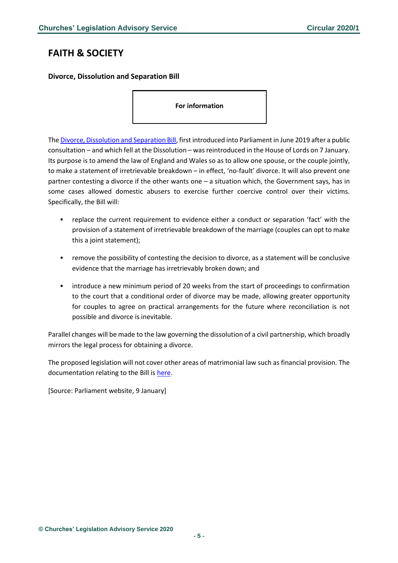# <span id="page-4-0"></span>**FAITH & SOCIETY**

<span id="page-4-1"></span>**Divorce, Dissolution and Separation Bill**

**For information** 

Th[e Divorce, Dissolution and Separation Bill,](https://publications.parliament.uk/pa/bills/lbill/58-01/002/5801002.pdf) first introduced into Parliament in June 2019 after a public consultation – and which fell at the Dissolution – was reintroduced in the House of Lords on 7 January. Its purpose is to amend the law of England and Wales so as to allow one spouse, or the couple jointly, to make a statement of irretrievable breakdown – in effect, 'no-fault' divorce. It will also prevent one partner contesting a divorce if the other wants one – a situation which, the Government says, has in some cases allowed domestic abusers to exercise further coercive control over their victims. Specifically, the Bill will:

- replace the current requirement to evidence either a conduct or separation 'fact' with the provision of a statement of irretrievable breakdown of the marriage (couples can opt to make this a joint statement);
- remove the possibility of contesting the decision to divorce, as a statement will be conclusive evidence that the marriage has irretrievably broken down; and
- introduce a new minimum period of 20 weeks from the start of proceedings to confirmation to the court that a conditional order of divorce may be made, allowing greater opportunity for couples to agree on practical arrangements for the future where reconciliation is not possible and divorce is inevitable.

Parallel changes will be made to the law governing the dissolution of a civil partnership, which broadly mirrors the legal process for obtaining a divorce.

The proposed legislation will not cover other areas of matrimonial law such as financial provision. The documentation relating to the Bill is [here.](https://www.gov.uk/government/publications/divorce-dissolution-and-separation-bill)

[Source: Parliament website, 9 January]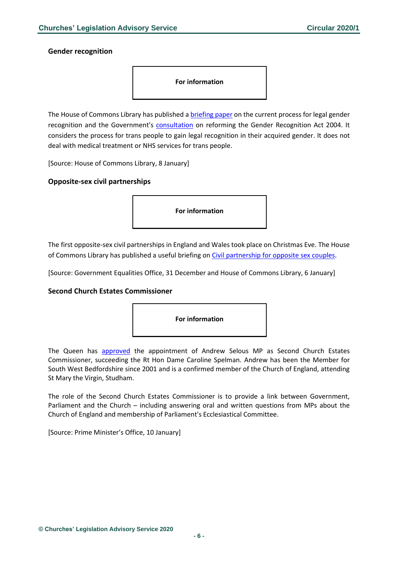#### <span id="page-5-0"></span>**Gender recognition**

**For information** 

The House of Commons Library has published a [briefing paper](https://researchbriefings.parliament.uk/ResearchBriefing/Summary/CBP-8746) on the current process for legal gender recognition and the Government's [consultation](https://www.gov.uk/government/consultations/reform-of-the-gender-recognition-act-2004) on reforming the Gender Recognition Act 2004. It considers the process for trans people to gain legal recognition in their acquired gender. It does not deal with medical treatment or NHS services for trans people.

[Source: House of Commons Library, 8 January]

#### <span id="page-5-1"></span>**Opposite-sex civil partnerships**

**For information** 

The first opposite-sex civil partnerships in England and Wales took place on Christmas Eve. The House of Commons Library has published a useful briefing on [Civil partnership for opposite sex couples.](https://researchbriefings.parliament.uk/ResearchBriefing/Summary/CBP-8609#fullreport)

[Source: Government Equalities Office, 31 December and House of Commons Library, 6 January]

#### <span id="page-5-2"></span>**Second Church Estates Commissioner**



The Queen has [approved](https://www.gov.uk/government/news/second-church-estates-commissioner-andrew-selous-mp?utm_source=4e230b21-537d-4549-b12b-a9b4350bf344&utm_medium=email&utm_campaign=govuk-notifications&utm_content=immediate) the appointment of Andrew Selous MP as Second Church Estates Commissioner, succeeding the Rt Hon Dame Caroline Spelman. Andrew has been the Member for South West Bedfordshire since 2001 and is a confirmed member of the Church of England, attending St Mary the Virgin, Studham.

The role of the Second Church Estates Commissioner is to provide a link between Government, Parliament and the Church – including answering oral and written questions from MPs about the Church of England and membership of Parliament's Ecclesiastical Committee.

[Source: Prime Minister's Office, 10 January]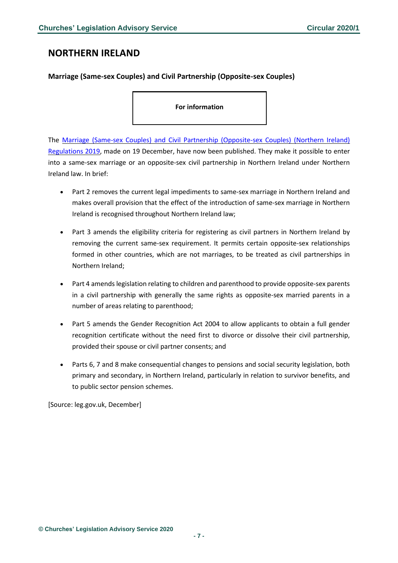# <span id="page-6-0"></span>**NORTHERN IRELAND**

## <span id="page-6-1"></span>**Marriage (Same-sex Couples) and Civil Partnership (Opposite-sex Couples)**

**For information**

The Marriage (Same-sex Couples) and Civil Partnership [\(Opposite-sex](http://www.legislation.gov.uk/uksi/2019/1514/contents/made) Couples) (Northern Ireland) [Regulations](http://www.legislation.gov.uk/uksi/2019/1514/contents/made) 2019, made on 19 December, have now been published. They make it possible to enter into a same-sex marriage or an opposite-sex civil partnership in Northern Ireland under Northern Ireland law. In brief:

- Part 2 removes the current legal impediments to same-sex marriage in Northern Ireland and makes overall provision that the effect of the introduction of same-sex marriage in Northern Ireland is recognised throughout Northern Ireland law;
- Part 3 amends the eligibility criteria for registering as civil partners in Northern Ireland by removing the current same-sex requirement. It permits certain opposite-sex relationships formed in other countries, which are not marriages, to be treated as civil partnerships in Northern Ireland;
- Part 4 amends legislation relating to children and parenthood to provide opposite-sex parents in a civil partnership with generally the same rights as opposite-sex married parents in a number of areas relating to parenthood;
- Part 5 amends the Gender Recognition Act 2004 to allow applicants to obtain a full gender recognition certificate without the need first to divorce or dissolve their civil partnership, provided their spouse or civil partner consents; and
- Parts 6, 7 and 8 make consequential changes to pensions and social security legislation, both primary and secondary, in Northern Ireland, particularly in relation to survivor benefits, and to public sector pension schemes.

[Source: leg.gov.uk, December]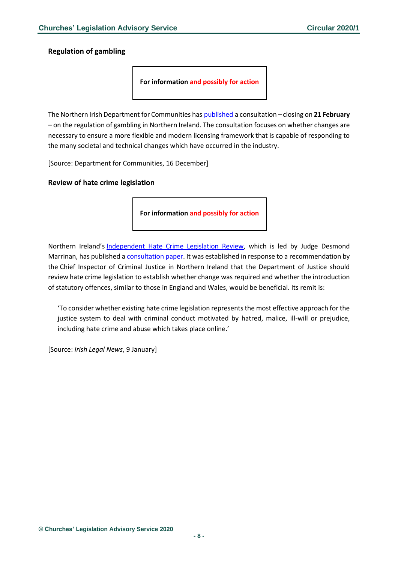<span id="page-7-0"></span>**Regulation of gambling**

**For information and possibly for action**

The Northern Irish Department for Communities has [published](https://www.communities-ni.gov.uk/consultations/consultation-regulation-gambling-northern-ireland) a consultation – closing on **21 February** – on the regulation of gambling in Northern Ireland. The consultation focuses on whether changes are necessary to ensure a more flexible and modern licensing framework that is capable of responding to the many societal and technical changes which have occurred in the industry.

[Source: Department for Communities, 16 December]

### <span id="page-7-1"></span>**Review of hate crime legislation**

**For information and possibly for action**

Northern Ireland's [Independent Hate Crime Legislation Review,](https://www.hatecrimereviewni.org.uk/sites/hcr/files/media-files/Terms%20of%20Reference.pdf) which is led by Judge Desmond Marrinan, has published a [consultation paper.](https://www.hatecrimereviewni.org.uk/sites/hcr/files/media-files/Consultation%20Paper.pdf) It was established in response to a recommendation by the Chief Inspector of Criminal Justice in Northern Ireland that the Department of Justice should review hate crime legislation to establish whether change was required and whether the introduction of statutory offences, similar to those in England and Wales, would be beneficial. Its remit is:

'To consider whether existing hate crime legislation represents the most effective approach for the justice system to deal with criminal conduct motivated by hatred, malice, ill-will or prejudice, including hate crime and abuse which takes place online.'

[Source: *Irish Legal News*, 9 January]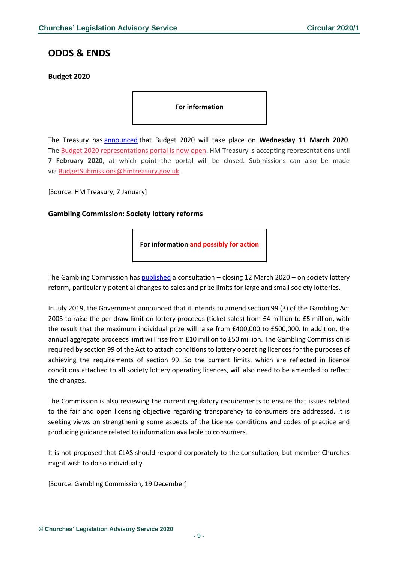# <span id="page-8-0"></span>**ODDS & ENDS**

### <span id="page-8-1"></span>**Budget 2020**

#### **For information**

The Treasury has [announced](https://www.gov.uk/government/news/chancellor-launches-budget-process-to-usher-in-decade-of-renewal?utm_source=9d213763-d8c9-4ae3-9b88-ce35b1c3997f&utm_medium=email&utm_campaign=govuk-notifications&utm_content=daily) that Budget 2020 will take place on **Wednesday 11 March 2020**. The [Budget 2020 representations portal is now open.](https://www.smartsurvey.co.uk/s/8KLLC/) HM Treasury is accepting representations until **7 February 2020**, at which point the portal will be closed. Submissions can also be made via [BudgetSubmissions@hmtreasury.gov.uk.](mailto:BudgetSubmissions@hmtreasury.gov.uk)

[Source: HM Treasury, 7 January]

### <span id="page-8-2"></span>**Gambling Commission: Society lottery reforms**

**For information and possibly for action**

The Gambling Commission has [published](https://www.gamblingcommission.gov.uk/news-action-and-statistics/Consultations/society-lottery-reforms) a consultation – closing 12 March 2020 – on society lottery reform, particularly potential changes to sales and prize limits for large and small society lotteries.

In July 2019, the Government announced that it intends to amend section 99 (3) of the Gambling Act 2005 to raise the per draw limit on lottery proceeds (ticket sales) from £4 million to £5 million, with the result that the maximum individual prize will raise from £400,000 to £500,000. In addition, the annual aggregate proceeds limit will rise from £10 million to £50 million. The Gambling Commission is required by section 99 of the Act to attach conditions to lottery operating licences for the purposes of achieving the requirements of section 99. So the current limits, which are reflected in licence conditions attached to all society lottery operating licences, will also need to be amended to reflect the changes.

The Commission is also reviewing the current regulatory requirements to ensure that issues related to the fair and open licensing objective regarding transparency to consumers are addressed. It is seeking views on strengthening some aspects of the Licence conditions and codes of practice and producing guidance related to information available to consumers.

It is not proposed that CLAS should respond corporately to the consultation, but member Churches might wish to do so individually.

[Source: Gambling Commission, 19 December]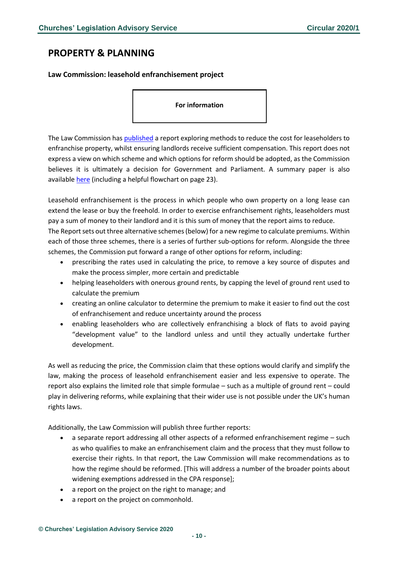# <span id="page-9-0"></span>**PROPERTY & PLANNING**

### <span id="page-9-1"></span>**Law Commission: leasehold enfranchisement project**

#### **For information**

The Law Commission has [published](https://s3-eu-west-2.amazonaws.com/lawcom-prod-storage-11jsxou24uy7q/uploads/2020/01/Enfranchisement-Valuation-Report-published-9-January-2020.pdf) a report exploring methods to reduce the cost for leaseholders to enfranchise property, whilst ensuring landlords receive sufficient compensation. This report does not express a view on which scheme and which options for reform should be adopted, as the Commission believes it is ultimately a decision for Government and Parliament. A summary paper is also available [here](https://s3-eu-west-2.amazonaws.com/lawcom-prod-storage-11jsxou24uy7q/uploads/2020/01/Enfranchisement-Valuation-Report-Summary-published-9-January-2020.pdf) (including a helpful flowchart on page 23).

Leasehold enfranchisement is the process in which people who own property on a long lease can extend the lease or buy the freehold. In order to exercise enfranchisement rights, leaseholders must pay a sum of money to their landlord and it is this sum of money that the report aims to reduce. The Report sets out three alternative schemes (below) for a new regime to calculate premiums. Within

each of those three schemes, there is a series of further sub-options for reform. Alongside the three schemes, the Commission put forward a range of other options for reform, including:

- prescribing the rates used in calculating the price, to remove a key source of disputes and make the process simpler, more certain and predictable
- helping leaseholders with onerous ground rents, by capping the level of ground rent used to calculate the premium
- creating an online calculator to determine the premium to make it easier to find out the cost of enfranchisement and reduce uncertainty around the process
- enabling leaseholders who are collectively enfranchising a block of flats to avoid paying "development value" to the landlord unless and until they actually undertake further development.

As well as reducing the price, the Commission claim that these options would clarify and simplify the law, making the process of leasehold enfranchisement easier and less expensive to operate. The report also explains the limited role that simple formulae – such as a multiple of ground rent – could play in delivering reforms, while explaining that their wider use is not possible under the UK's human rights laws.

Additionally, the Law Commission will publish three further reports:

- a separate report addressing all other aspects of a reformed enfranchisement regime such as who qualifies to make an enfranchisement claim and the process that they must follow to exercise their rights. In that report, the Law Commission will make recommendations as to how the regime should be reformed. [This will address a number of the broader points about widening exemptions addressed in the CPA response];
- a report on the project on the right to manage; and
- a report on the project on commonhold.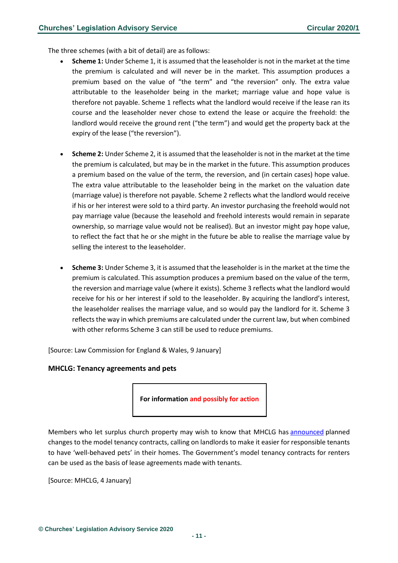The three schemes (with a bit of detail) are as follows:

- **Scheme 1:** Under Scheme 1, it is assumed that the leaseholder is not in the market at the time the premium is calculated and will never be in the market. This assumption produces a premium based on the value of "the term" and "the reversion" only. The extra value attributable to the leaseholder being in the market; marriage value and hope value is therefore not payable. Scheme 1 reflects what the landlord would receive if the lease ran its course and the leaseholder never chose to extend the lease or acquire the freehold: the landlord would receive the ground rent ("the term") and would get the property back at the expiry of the lease ("the reversion").
- **Scheme 2:** Under Scheme 2, it is assumed that the leaseholder is not in the market at the time the premium is calculated, but may be in the market in the future. This assumption produces a premium based on the value of the term, the reversion, and (in certain cases) hope value. The extra value attributable to the leaseholder being in the market on the valuation date (marriage value) is therefore not payable. Scheme 2 reflects what the landlord would receive if his or her interest were sold to a third party. An investor purchasing the freehold would not pay marriage value (because the leasehold and freehold interests would remain in separate ownership, so marriage value would not be realised). But an investor might pay hope value, to reflect the fact that he or she might in the future be able to realise the marriage value by selling the interest to the leaseholder.
- **Scheme 3:** Under Scheme 3, it is assumed that the leaseholder is in the market at the time the premium is calculated. This assumption produces a premium based on the value of the term, the reversion and marriage value (where it exists). Scheme 3 reflects what the landlord would receive for his or her interest if sold to the leaseholder. By acquiring the landlord's interest, the leaseholder realises the marriage value, and so would pay the landlord for it. Scheme 3 reflects the way in which premiums are calculated under the current law, but when combined with other reforms Scheme 3 can still be used to reduce premiums.

[Source: Law Commission for England & Wales, 9 January]

#### <span id="page-10-0"></span>**MHCLG: Tenancy agreements and pets**

**For information and possibly for action**

Members who let surplus church property may wish to know that MHCLG has [announced](https://www.gov.uk/government/news/jenrick-overhauls-tenancy-agreement-to-help-end-pet-bans) planned changes to the model tenancy contracts, calling on landlords to make it easier for responsible tenants to have 'well-behaved pets' in their homes. The Government's model tenancy contracts for renters can be used as the basis of lease agreements made with tenants.

[Source: MHCLG, 4 January]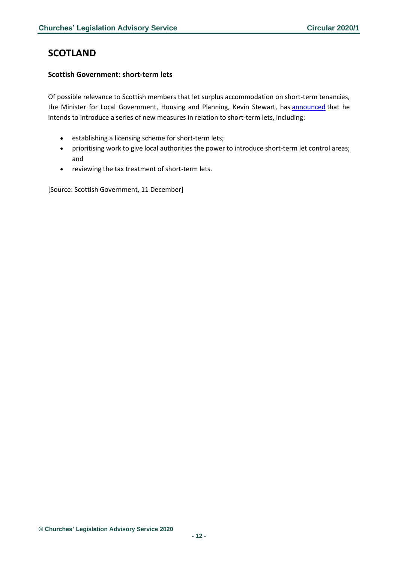# <span id="page-11-0"></span>**SCOTLAND**

# <span id="page-11-1"></span>**Scottish Government: short-term lets**

Of possible relevance to Scottish members that let surplus accommodation on short-term tenancies, the Minister for Local Government, Housing and Planning, Kevin Stewart, has [announced](http://www.parliament.scot/parliamentarybusiness/report.aspx?r=12446) that he intends to introduce a series of new measures in relation to short-term lets, including:

- establishing a licensing scheme for short-term lets;
- prioritising work to give local authorities the power to introduce short-term let control areas; and
- reviewing the tax treatment of short-term lets.

[Source: Scottish Government, 11 December]